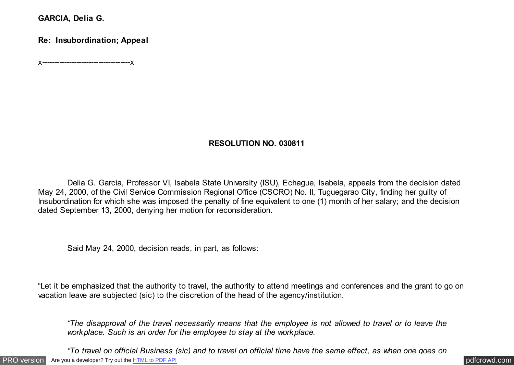**GARCIA, Delia G.**

**Re: Insubordination; Appeal**

x------------------------------------x

# **RESOLUTION NO. 030811**

 Delia G. Garcia, Professor VI, Isabela State University (ISU), Echague, Isabela, appeals from the decision dated May 24, 2000, of the Civil Service Commission Regional Office (CSCRO) No. II, Tuguegarao City, finding her guilty of Insubordination for which she was imposed the penalty of fine equivalent to one (1) month of her salary; and the decision dated September 13, 2000, denying her motion for reconsideration.

Said May 24, 2000, decision reads, in part, as follows:

"Let it be emphasized that the authority to travel, the authority to attend meetings and conferences and the grant to go on vacation leave are subjected (sic) to the discretion of the head of the agency/institution.

*"The disapproval of the travel necessarily means that the employee is not allowed to travel or to leave the workplace. Such is an order for the employee to stay at the workplace.*

[PRO version](http://pdfcrowd.com/customize/) Are you a developer? Try out th[e HTML to PDF API](http://pdfcrowd.com/html-to-pdf-api/?ref=pdf) contract the contract of the HTML to PDF API [pdfcrowd.com](http://pdfcrowd.com) *"To travel on official Business (sic) and to travel on official time have the same effect, as when one goes on*

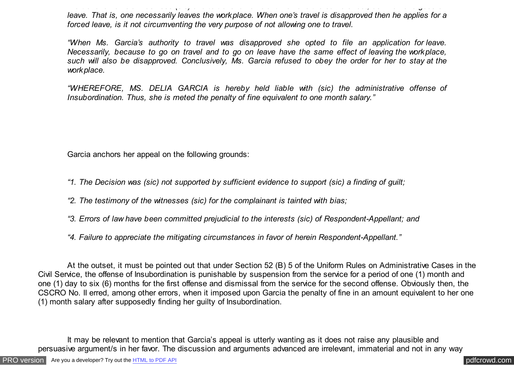*"To travel on official Business (sic) and to travel on official time have the same effect, as when one goes on leave. That is, one necessarily leaves the workplace. When one's travel is disapproved then he applies for a forced leave, is it not circumventing the very purpose of not allowing one to travel.*

*"When Ms. Garcia's authority to travel was disapproved she opted to file an application for leave. Necessarily, because to go on travel and to go on leave have the same effect of leaving the workplace, such will also be disapproved. Conclusively, Ms. Garcia refused to obey the order for her to stay at the workplace.*

*"WHEREFORE, MS. DELIA GARCIA is hereby held liable with (sic) the administrative offense of Insubordination. Thus, she is meted the penalty of fine equivalent to one month salary."*

Garcia anchors her appeal on the following grounds:

- *"1. The Decision was (sic) not supported by sufficient evidence to support (sic) a finding of guilt;*
- *"2. The testimony of the witnesses (sic) for the complainant is tainted with bias;*
- *"3. Errors of law have been committed prejudicial to the interests (sic) of Respondent-Appellant; and*
- *"4. Failure to appreciate the mitigating circumstances in favor of herein Respondent-Appellant."*

 At the outset, it must be pointed out that under Section 52 (B) 5 of the Uniform Rules on Administrative Cases in the Civil Service, the offense of Insubordination is punishable by suspension from the service for a period of one (1) month and one (1) day to six (6) months for the first offense and dismissal from the service for the second offense. Obviously then, the CSCRO No. II erred, among other errors, when it imposed upon Garcia the penalty of fine in an amount equivalent to her one (1) month salary after supposedly finding her guilty of Insubordination.

 It may be relevant to mention that Garcia's appeal is utterly wanting as it does not raise any plausible and persuasive argument/s in her favor. The discussion and arguments advanced are irrelevant, immaterial and not in any way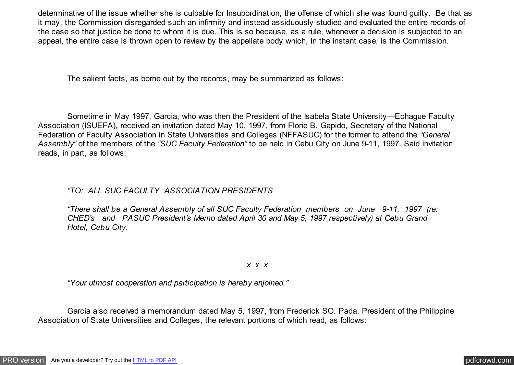determinative of the issue whether she is culpable for Insubordination, the offense of which she was found guilty. Be that as it may, the Commission disregarded such an infirmity and instead assiduously studied and evaluated the entire records of the case so that justice be done to whom it is due. This is so because, as a rule, whenever a decision is subjected to an appeal, the entire case is thrown open to review by the appellate body which, in the instant case, is the Commission.

The salient facts, as borne out by the records, may be summarized as follows:

 Sometime in May 1997, Garcia, who was then the President of the Isabela State University—Echague Faculty Association (ISUEFA), received an invitation dated May 10, 1997, from Florie B. Gapido, Secretary of the National Federation of Faculty Association in State Universities and Colleges (NFFASUC) for the former to attend the *"General Assembly"* of the members of the *"SUC Faculty Federation"* to be held in Cebu City on June 9-11, 1997. Said invitation reads, in part, as follows:

## *"TO: ALL SUC FACULTY ASSOCIATION PRESIDENTS*

*"There shall be a General Assembly of all SUC Faculty Federation members on June 9-11, 1997 (re: CHED's and PASUC President's Memo dated April 30 and May 5, 1997 respectively) at Cebu Grand Hotel, Cebu City.*

### *x x x*

*"Your utmost cooperation and participation is hereby enjoined."*

 Garcia also received a memorandum dated May 5, 1997, from Frederick SO. Pada, President of the Philippine Association of State Universities and Colleges, the relevant portions of which read, as follows: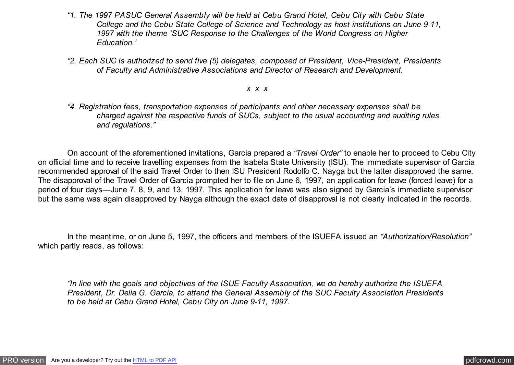- *"1. The 1997 PASUC General Assembly will be held at Cebu Grand Hotel, Cebu City with Cebu State College and the Cebu State College of Science and Technology as host institutions on June 9-11, 1997 with the theme 'SUC Response to the Challenges of the World Congress on Higher Education.'*
- *"2. Each SUC is authorized to send five (5) delegates, composed of President, Vice-President, Presidents of Faculty and Administrative Associations and Director of Research and Development.*

#### *x x x*

*"4. Registration fees, transportation expenses of participants and other necessary expenses shall be charged against the respective funds of SUCs, subject to the usual accounting and auditing rules and regulations."*

 On account of the aforementioned invitations, Garcia prepared a *"Travel Order"* to enable her to proceed to Cebu City on official time and to receive travelling expenses from the Isabela State University (ISU). The immediate supervisor of Garcia recommended approval of the said Travel Order to then ISU President Rodolfo C. Nayga but the latter disapproved the same. The disapproval of the Travel Order of Garcia prompted her to file on June 6, 1997, an application for leave (forced leave) for a period of four days—June 7, 8, 9, and 13, 1997. This application for leave was also signed by Garcia's immediate supervisor but the same was again disapproved by Nayga although the exact date of disapproval is not clearly indicated in the records.

 In the meantime, or on June 5, 1997, the officers and members of the ISUEFA issued an *"Authorization/Resolution"* which partly reads, as follows:

*"In line with the goals and objectives of the ISUE Faculty Association, we do hereby authorize the ISUEFA President, Dr. Delia G. Garcia, to attend the General Assembly of the SUC Faculty Association Presidents to be held at Cebu Grand Hotel, Cebu City on June 9-11, 1997.*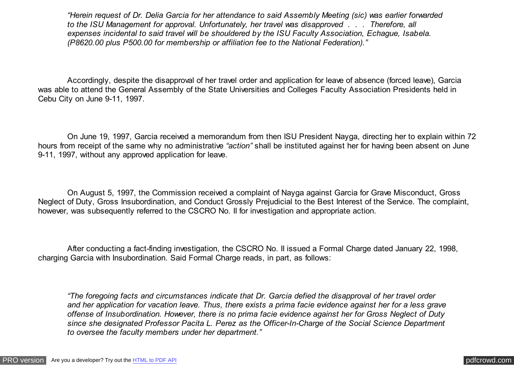*"Herein request of Dr. Delia Garcia for her attendance to said Assembly Meeting (sic) was earlier forwarded to the ISU Management for approval. Unfortunately, her travel was disapproved . . . Therefore, all expenses incidental to said travel will be shouldered by the ISU Faculty Association, Echague, Isabela. (P8620.00 plus P500.00 for membership or affiliation fee to the National Federation)."*

Accordingly, despite the disapproval of her travel order and application for leave of absence (forced leave), Garcia was able to attend the General Assembly of the State Universities and Colleges Faculty Association Presidents held in Cebu City on June 9-11, 1997.

 On June 19, 1997, Garcia received a memorandum from then ISU President Nayga, directing her to explain within 72 hours from receipt of the same why no administrative *"action"* shall be instituted against her for having been absent on June 9-11, 1997, without any approved application for leave.

 On August 5, 1997, the Commission received a complaint of Nayga against Garcia for Grave Misconduct, Gross Neglect of Duty, Gross Insubordination, and Conduct Grossly Prejudicial to the Best Interest of the Service. The complaint, however, was subsequently referred to the CSCRO No. II for investigation and appropriate action.

 After conducting a fact-finding investigation, the CSCRO No. II issued a Formal Charge dated January 22, 1998, charging Garcia with Insubordination. Said Formal Charge reads, in part, as follows:

*"The foregoing facts and circumstances indicate that Dr. Garcia defied the disapproval of her travel order and her application for vacation leave. Thus, there exists a prima facie evidence against her for a less grave offense of Insubordination. However, there is no prima facie evidence against her for Gross Neglect of Duty since she designated Professor Pacita L. Perez as the Officer-In-Charge of the Social Science Department to oversee the faculty members under her department."*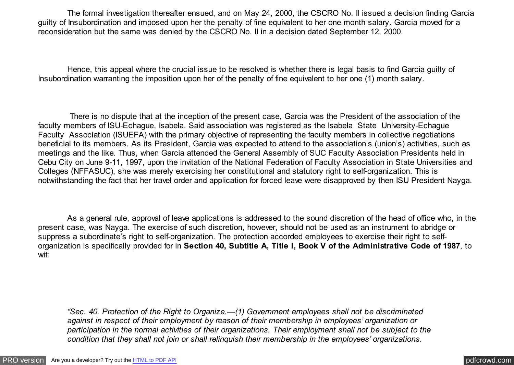The formal investigation thereafter ensued, and on May 24, 2000, the CSCRO No. II issued a decision finding Garcia guilty of Insubordination and imposed upon her the penalty of fine equivalent to her one month salary. Garcia moved for a reconsideration but the same was denied by the CSCRO No. II in a decision dated September 12, 2000.

 Hence, this appeal where the crucial issue to be resolved is whether there is legal basis to find Garcia guilty of Insubordination warranting the imposition upon her of the penalty of fine equivalent to her one (1) month salary.

 There is no dispute that at the inception of the present case, Garcia was the President of the association of the faculty members of ISU-Echague, Isabela. Said association was registered as the Isabela State University-Echague Faculty Association (ISUEFA) with the primary objective of representing the faculty members in collective negotiations beneficial to its members. As its President, Garcia was expected to attend to the association's (union's) activities, such as meetings and the like. Thus, when Garcia attended the General Assembly of SUC Faculty Association Presidents held in Cebu City on June 9-11, 1997, upon the invitation of the National Federation of Faculty Association in State Universities and Colleges (NFFASUC), she was merely exercising her constitutional and statutory right to self-organization. This is notwithstanding the fact that her travel order and application for forced leave were disapproved by then ISU President Nayga.

 As a general rule, approval of leave applications is addressed to the sound discretion of the head of office who, in the present case, was Nayga. The exercise of such discretion, however, should not be used as an instrument to abridge or suppress a subordinate's right to self-organization. The protection accorded employees to exercise their right to selforganization is specifically provided for in **Section 40, Subtitle A, Title I, Book V of the Administrative Code of 1987**, to wit:

*"Sec. 40. Protection of the Right to Organize.—(1) Government employees shall not be discriminated against in respect of their employment by reason of their membership in employees' organization or participation in the normal activities of their organizations. Their employment shall not be subject to the condition that they shall not join or shall relinquish their membership in the employees' organizations.*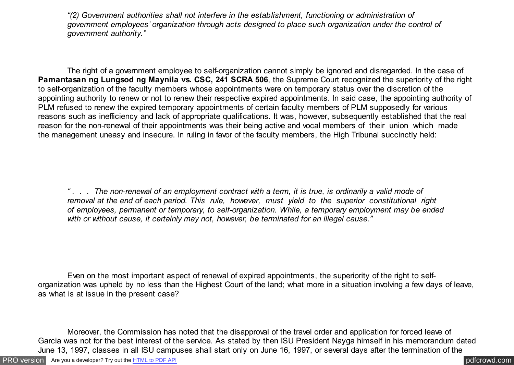*"(2) Government authorities shall not interfere in the establishment, functioning or administration of government employees' organization through acts designed to place such organization under the control of government authority."*

 The right of a government employee to self-organization cannot simply be ignored and disregarded. In the case of **Pamantasan ng Lungsod ng Maynila vs. CSC, 241 SCRA 506**, the Supreme Court recognized the superiority of the right to self-organization of the faculty members whose appointments were on temporary status over the discretion of the appointing authority to renew or not to renew their respective expired appointments. In said case, the appointing authority of PLM refused to renew the expired temporary appointments of certain faculty members of PLM supposedly for various reasons such as inefficiency and lack of appropriate qualifications. It was, however, subsequently established that the real reason for the non-renewal of their appointments was their being active and vocal members of their union which made the management uneasy and insecure. In ruling in favor of the faculty members, the High Tribunal succinctly held:

*" . . . The non-renewal of an employment contract with a term, it is true, is ordinarily a valid mode of removal at the end of each period. This rule, however, must yield to the superior constitutional right of employees, permanent or temporary, to self-organization. While, a temporary employment may be ended with or without cause, it certainly may not, however, be terminated for an illegal cause."*

 Even on the most important aspect of renewal of expired appointments, the superiority of the right to selforganization was upheld by no less than the Highest Court of the land; what more in a situation involving a few days of leave, as what is at issue in the present case?

 Moreover, the Commission has noted that the disapproval of the travel order and application for forced leave of Garcia was not for the best interest of the service. As stated by then ISU President Nayga himself in his memorandum dated June 13, 1997, classes in all ISU campuses shall start only on June 16, 1997, or several days after the termination of the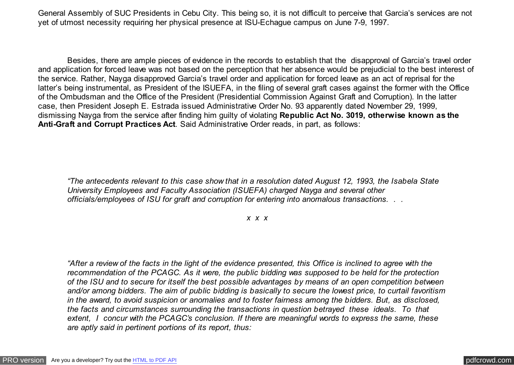General Assembly of SUC Presidents in Cebu City. This being so, it is not difficult to perceive that Garcia's services are not yet of utmost necessity requiring her physical presence at ISU-Echague campus on June 7-9, 1997.

 Besides, there are ample pieces of evidence in the records to establish that the disapproval of Garcia's travel order and application for forced leave was not based on the perception that her absence would be prejudicial to the best interest of the service. Rather, Nayga disapproved Garcia's travel order and application for forced leave as an act of reprisal for the latter's being instrumental, as President of the ISUEFA, in the filing of several graft cases against the former with the Office of the Ombudsman and the Office of the President (Presidential Commission Against Graft and Corruption). In the latter case, then President Joseph E. Estrada issued Administrative Order No. 93 apparently dated November 29, 1999, dismissing Nayga from the service after finding him guilty of violating **Republic Act No. 3019, otherwise known as the Anti-Graft and Corrupt Practices Act**. Said Administrative Order reads, in part, as follows:

*"The antecedents relevant to this case show that in a resolution dated August 12, 1993, the Isabela State University Employees and Faculty Association (ISUEFA) charged Nayga and several other officials/employees of ISU for graft and corruption for entering into anomalous transactions. . .*

*x x x*

*"After a review of the facts in the light of the evidence presented, this Office is inclined to agree with the recommendation of the PCAGC. As it were, the public bidding was supposed to be held for the protection of the ISU and to secure for itself the best possible advantages by means of an open competition between and/or among bidders. The aim of public bidding is basically to secure the lowest price, to curtail favoritism in the award, to avoid suspicion or anomalies and to foster fairness among the bidders. But, as disclosed, the facts and circumstances surrounding the transactions in question betrayed these ideals. To that extent, I concur with the PCAGC's conclusion. If there are meaningful words to express the same, these are aptly said in pertinent portions of its report, thus:*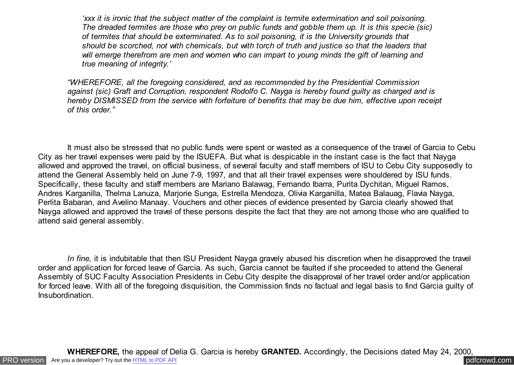*'xxx it is ironic that the subject matter of the complaint is termite extermination and soil poisoning. The dreaded termites are those who prey on public funds and gobble them up. It is this specie (sic) of termites that should be exterminated. As to soil poisoning, it is the University grounds that should be scorched, not with chemicals, but with torch of truth and justice so that the leaders that will emerge therefrom are men and women who can impart to young minds the gift of learning and true meaning of integrity.'*

*"WHEREFORE, all the foregoing considered, and as recommended by the Presidential Commission against (sic) Graft and Corruption, respondent Rodolfo C. Nayga is hereby found guilty as charged and is hereby DISMISSED from the service with forfeiture of benefits that may be due him, effective upon receipt of this order."*

 It must also be stressed that no public funds were spent or wasted as a consequence of the travel of Garcia to Cebu City as her travel expenses were paid by the ISUEFA. But what is despicable in the instant case is the fact that Nayga allowed and approved the travel, on official business, of several faculty and staff members of ISU to Cebu City supposedly to attend the General Assembly held on June 7-9, 1997, and that all their travel expenses were shouldered by ISU funds. Specifically, these faculty and staff members are Mariano Balawag, Fernando Ibarra, Purita Dychitan, Miguel Ramos, Andres Karganilla, Thelma Lanuza, Marjorie Sunga, Estrella Mendoza, Olivia Karganilla, Matea Balauag, Flavia Nayga, Perlita Babaran, and Avelino Manaay. Vouchers and other pieces of evidence presented by Garcia clearly showed that Nayga allowed and approved the travel of these persons despite the fact that they are not among those who are qualified to attend said general assembly.

 *In fine,* it is indubitable that then ISU President Nayga gravely abused his discretion when he disapproved the travel order and application for forced leave of Garcia. As such, Garcia cannot be faulted if she proceeded to attend the General Assembly of SUC Faculty Association Presidents in Cebu City despite the disapproval of her travel order and/or application for forced leave. With all of the foregoing disquisition, the Commission finds no factual and legal basis to find Garcia guilty of Insubordination.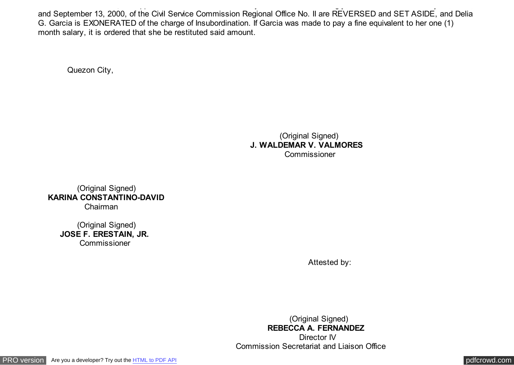**WHEREFORE,** the appeal of Delia G. Garcia is hereby **GRANTED.** Accordingly, the Decisions dated May 24, 2000, and September 13, 2000, of the Civil Service Commission Regional Office No. II are REVERSED and SET ASIDE, and Delia G. Garcia is EXONERATED of the charge of Insubordination. If Garcia was made to pay a fine equivalent to her one (1) month salary, it is ordered that she be restituted said amount.

Quezon City,

 (Original Signed) **J. WALDEMAR V. VALMORES Commissioner** 

 (Original Signed)  **KARINA CONSTANTINO-DAVID**  Chairman

 (Original Signed)  **JOSE F. ERESTAIN, JR.** Commissioner

Attested by:

 (Original Signed)  **REBECCA A. FERNANDEZ**  Director IV Commission Secretariat and Liaison Office